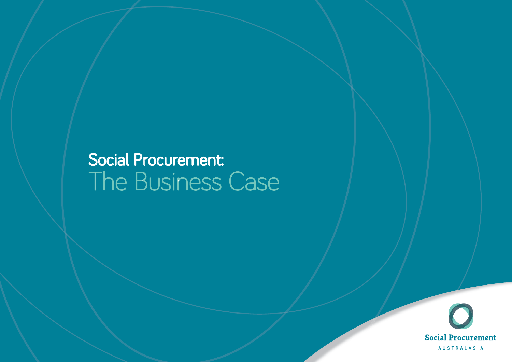## Social Procurement: The Business Case

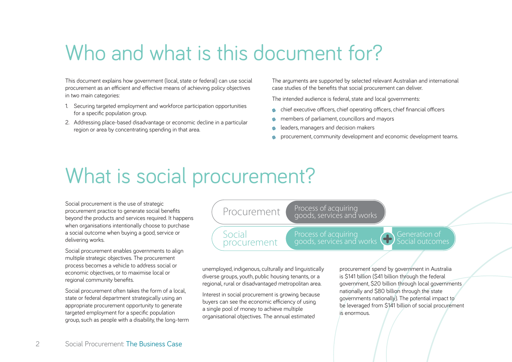## Who and what is this document for?

This document explains how government (local, state or federal) can use social procurement as an efficient and effective means of achieving policy objectives in two main categories:

- 1. Securing targeted employment and workforce participation opportunities for a specific population group.
- 2. Addressing place-based disadvantage or economic decline in a particular region or area by concentrating spending in that area.

The arguments are supported by selected relevant Australian and international case studies of the benefits that social procurement can deliver.

The intended audience is federal, state and local governments:

- $\bullet$  chief executive officers, chief operating officers, chief financial officers
- members of parliament, councillors and mayors
- leaders, managers and decision makers
- procurement, community development and economic development teams.

## What is social procurement?

Social procurement is the use of strategic procurement practice to generate social benefits beyond the products and services required. It happens when organisations intentionally choose to purchase a social outcome when buying a good, service or delivering works.

Social procurement enables governments to align multiple strategic objectives. The procurement process becomes a vehicle to address social or economic objectives, or to maximise local or regional community benefits.

Social procurement often takes the form of a local, state or federal department strategically using an appropriate procurement opportunity to generate targeted employment for a specific population group, such as people with a disability, the long-term

Process of acquiring goods, services and works

Process of acquiring goods, services and works Generation ofSocial outcomes

unemployed, indigenous, culturally and linguistically diverse groups, youth, public housing tenants, or a regional, rural or disadvantaged metropolitan area.

Social

procurement

Procurement

Interest in social procurement is growing because buyers can see the economic efficiency of using a single pool of money to achieve multiple organisational objectives. The annual estimated

procurement spend by government in Australia is \$141 billion (\$41 billion through the federal government, \$20 billion through local governments nationally and \$80 billion through the state governments nationally). The potential impact to be leveraged from \$141 billion of social procurement is enormous.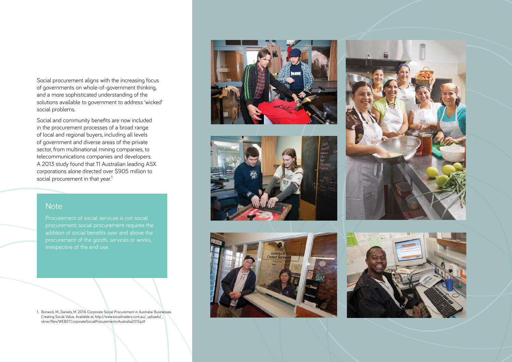Social procurement aligns with the increasing focus of governments on whole-of-government thinking, and a more sophisticated understanding of the solutions available to government to address 'wicked' social problems.

Social and community benefits are now included in the procurement processes of a broad range of local and regional buyers, including all levels of government and diverse areas of the private sector, from multinational mining companies, to telecommunications companies and developers. A 2013 study found that 11 Australian leading ASX corporations alone directed over \$905 million to social procurement in that year.<sup>1</sup>

#### **Note**

Procurement of social services is not social addition of social benefits over and above the irrespective of the end use.

1. Bonwick, M., Daniels, M. 2014. Corporate Social Procurement in Australia: Businesses Creating Social Value. Available at, http://www.socialtraders.com.au/\_uploads/\_ cknw/files/WEBSTCorporateSocialProcurementinAustralia2013.pdf









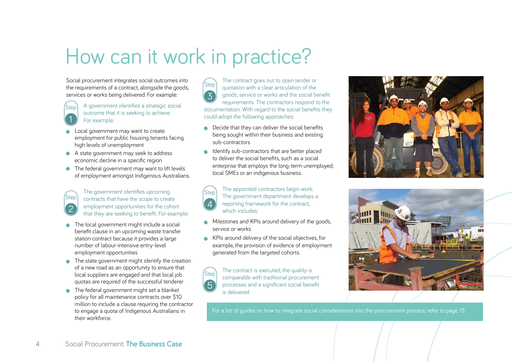## How can it work in practice?

Social procurement integrates social outcomes into the requirements of a contract, alongside the goods, services or works being delivered. For example:

- A government identifies a strategic social outcome that it is seeking to achieve. For example: 1Step
- Local government may want to create employment for public housing tenants facing high levels of unemployment
- A state government may seek to address economic decline in a specific region
- $\bullet$  The federal government may want to lift levels of employment amongst Indigenous Australians.

The government identifies upcoming contracts that have the scope to create employment opportunities for the cohort that they are seeking to benefit. For example: Step<sup>'</sup>

2

- The local government might include a social benefit clause in an upcoming waste transfer station contract because it provides a large number of labour-intensive entry-level employment opportunities
- The state government might identify the creation of a new road as an opportunity to ensure that local suppliers are engaged and that local job quotas are required of the successful tenderer
- The federal government might set a blanket policy for all maintenance contracts over \$10 million to include a clause requiring the contractor to engage a quota of Indigenous Australians in their workforce.

The contract goes out to open tender or quotation with a clear articulation of the goods, service or works and the social benefit requirements. The contractors respond to the documentation. With regard to the social benefits they could adopt the following approaches: 3Step

- $\bullet$  Decide that they can deliver the social benefits being sought within their business and existing sub-contractors
- Identify sub-contractors that are better placed to deliver the social benefits, such as a social enterprise that employs the long-term unemployed, local SMEs or an indigenous business.

The appointed contractors begin work. The government department develops a reporting framework for the contract, which includes:4Step

- Milestones and KPIs around delivery of the goods, service or works
- KPIs around delivery of the social objectives, for example, the provision of evidence of employment generated from the targeted cohorts.

The contract is executed, the quality is comparable with traditional procurement processes and a significant social benefit is delivered.5**Step** 





For a list of guides on how to integrate social considerations into the procurement process, refer to page 13.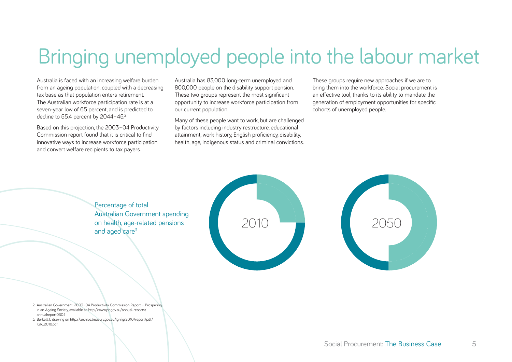## Bringing unemployed people into the labour market

Australia is faced with an increasing welfare burden from an ageing population, coupled with a decreasing tax base as that population enters retirement. The Australian workforce participation rate is at a seven-year low of 65 percent, and is predicted to decline to 55.4 percent by 2044-45.<sup>2</sup>

Based on this projection, the 2003–04 Productivity Commission report found that it is critical to find innovative ways to increase workforce participation and convert welfare recipients to tax payers.

Australia has 83,000 long-term unemployed and 800,000 people on the disability support pension. These two groups represent the most significant opportunity to increase workforce participation from our current population.

Many of these people want to work, but are challenged by factors including industry restructure, educational attainment, work history, English proficiency, disability, health, age, indigenous status and criminal convictions.

These groups require new approaches if we are to bring them into the workforce. Social procurement is an effective tool, thanks to its ability to mandate the generation of employment opportunities for specific cohorts of unemployed people.

Percentage of total Australian Government spending on health, age-related pensions and aged care<sup>3</sup>





- 2. Australian Government. 2003–04 Productivity Commission Report Prospering in an Ageing Society, available at: http://www.pc.gov.au/annual-reports/ annualreport0304
- 3. Burkett, I., drawing on http://archive.treasury.gov.au/igr/igr2010/report/pdf/ IGR\_2010.pdf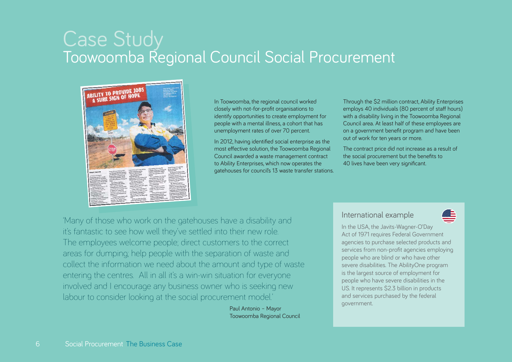# Case Study Toowoomba Regional Council Social Procurement



In Toowoomba, the regional council worked closely with not-for-profit organisations to identify opportunities to create employment for people with a mental illness, a cohort that has unemployment rates of over 70 percent.

In 2012, having identified social enterprise as the most effective solution, the Toowoomba Regional Council awarded a waste management contract to Ability Enterprises, which now operates the gatehouses for council's 13 waste transfer stations.

Through the \$2 million contract, Ability Enterprises employs 40 individuals (80 percent of staff hours) with a disability living in the Toowoomba Regional Council area. At least half of these employees are on a government benefit program and have been out of work for ten years or more.

The contract price did not increase as a result of the social procurement but the benefits to 40 lives have been very significant.

'Many of those who work on the gatehouses have a disability and it's fantastic to see how well they've settled into their new role. The employees welcome people; direct customers to the correct areas for dumping; help people with the separation of waste and collect the information we need about the amount and type of waste entering the centres. All in all it's a win-win situation for everyone involved and I encourage any business owner who is seeking new labour to consider looking at the social procurement model.'

> Paul Antonio – Mayor Toowoomba Regional Council

#### International example



In the USA, the Javits-Wagner-O'Day Act of 1971 requires Federal Government agencies to purchase selected products and services from non-profit agencies employing people who are blind or who have other severe disabilities. The AbilityOne program is the largest source of employment for people who have severe disabilities in the US. It represents \$2.3 billion in products and services purchased by the federal government.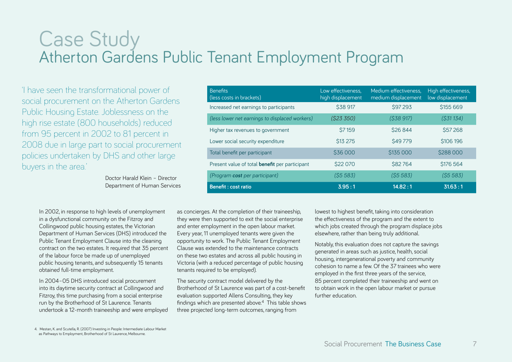# Case Study Atherton Gardens Public Tenant Employment Program

'I have seen the transformational power of social procurement on the Atherton Gardens Public Housing Estate. Joblessness on the high rise estate (800 households) reduced from 95 percent in 2002 to 81 percent in 2008 due in large part to social procurement policies undertaken by DHS and other large buyers in the area.'

> Doctor Harald Klein – Director Department of Human Services

| <b>Benefits</b><br>(less costs in brackets)           | Low effectiveness,<br>high displacement | Medium effectiveness,<br>medium displacement | High effectiveness,<br>low displacement |
|-------------------------------------------------------|-----------------------------------------|----------------------------------------------|-----------------------------------------|
| Increased net earnings to participants                | \$38 917                                | <b>\$97 293</b>                              | \$155 669                               |
| (less lower net earnings to displaced workers)        | (S23 350)                               | (538917)                                     | $($ \$31 134 $)$                        |
| Higher tax revenues to government                     | <b>\$7159</b>                           | <b>\$26 844</b>                              | \$57268                                 |
| Lower social security expenditure                     | <b>\$13 275</b>                         | <b>\$49779</b>                               | \$106 196                               |
| Total benefit per participant                         | \$36 000                                | \$135 000                                    | \$288 000                               |
| Present value of total <b>benefit</b> per participant | \$22 070                                | <b>\$82764</b>                               | <b>\$176 564</b>                        |
| (Program cost per participant)                        | (55583)                                 | (55583)                                      | (55583)                                 |
| <b>Benefit: cost ratio</b>                            | 3.95:1                                  | 14.82:1                                      | 31.63:1                                 |

In 2002, in response to high levels of unemployment in a dysfunctional community on the Fitzroy and Collingwood public housing estates, the Victorian Department of Human Services (DHS) introduced the Public Tenant Employment Clause into the cleaning contract on the two estates. It required that 35 percent of the labour force be made up of unemployed public housing tenants, and subsequently 15 tenants obtained full-time employment.

In 2004–05 DHS introduced social procurement into its daytime security contract at Collingwood and Fitzroy, this time purchasing from a social enterprise run by the Brotherhood of St Laurence. Tenants undertook a 12-month traineeship and were employed

as concierges. At the completion of their traineeship, they were then supported to exit the social enterprise and enter employment in the open labour market. Every year, 11 unemployed tenants were given the opportunity to work. The Public Tenant Employment Clause was extended to the maintenance contracts on these two estates and across all public housing in Victoria (with a reduced percentage of public housing tenants required to be employed).

The security contract model delivered by the Brotherhood of St Laurence was part of a cost-benefit evaluation supported Allens Consulting, they key findings which are presented above. $4$  This table shows three projected long-term outcomes, ranging from

lowest to highest benefit, taking into consideration the effectiveness of the program and the extent to which jobs created through the program displace jobs elsewhere, rather than being truly additional.

Notably, this evaluation does not capture the savings generated in areas such as justice, health, social housing, intergenerational poverty and community cohesion to name a few. Of the 37 trainees who were employed in the first three years of the service, 85 percent completed their traineeship and went on to obtain work in the open labour market or pursue further education.

4. Mestan, K. and Scutella, R. (2007) Investing in People: Intermediate Labour Market as Pathways to Employment, Brotherhood of St Laurence, Melbourne.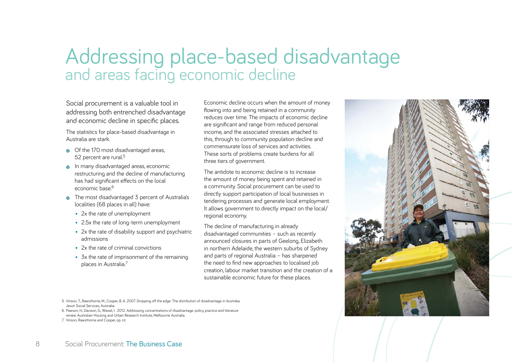# Addressing place-based disadvantage and areas facing economic decline

Social procurement is a valuable tool in addressing both entrenched disadvantage and economic decline in specific places.

The statistics for place-based disadvantage in Australia are stark.

- Of the 170 most disadvantaged areas, 52 percent are rural.<sup>5</sup>
- **In many disadvantaged areas, economic** restructuring and the decline of manufacturing has had significant effects on the local economic base<sup>6</sup>
- The most disadvantaged 3 percent of Australia's localities (68 places in all) have:
	- 2x the rate of unemployment
	- 2.5x the rate of long-term unemployment
	- 2x the rate of disability support and psychiatric admissions
	- 2x the rate of criminal convictions
	- 3x the rate of imprisonment of the remaining places in Australia.7

Economic decline occurs when the amount of money flowing into and being retained in a community reduces over time. The impacts of economic decline are significant and range from reduced personal income, and the associated stresses attached to this, through to community population decline and commensurate loss of services and activities.These sorts of problems create burdens for all three tiers of government.

The antidote to economic decline is to increase the amount of money being spent and retained in a community. Social procurement can be used to directly support participation of local businesses in tendering processes and generate local employment. It allows government to directly impact on the local/ regional economy.

The decline of manufacturing in already disadvantaged communities – such as recently announced closures in parts of Geelong, Elizabeth in northern Adelaide, the western suburbs of Sydney and parts of regional Australia – has sharpened the need to find new approaches to localised job creation, labour market transition and the creation of a sustainable economic future for these places.



6. Pawson, H., Davison, G., Wiesel, I. 2012. Addressing concentrations of disadvantage: policy, practice and literature review. Australian Housing and Urban Research Institute, Melbourne Australia.

7. Vinson, Rawsthorne and Cooper, op. cit.

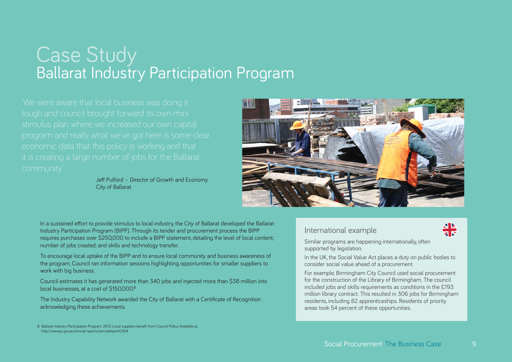# Case Study<br>Ballarat Industry Participation Program

Jeff Pulford – Director of Growth and Economy City of Ballarat



In a sustained effort to provide stimulus to local industry, the City of Ballarat developed the Ballarat Industry Participation Program (BIPP). Through its tender and procurement process the BIPP requires purchases over \$250,000 to include a BIPP statement, detailing the level of local content; number of jobs created; and skills and technology transfer.

To encourage local uptake of the BIPP and to ensure local community and business awareness of the program, Council ran information sessions highlighting opportunities for smaller suppliers to work with big business.

Council estimates it has generated more than 340 jobs and injected more than \$38 million into local businesses, at a cost of \$150,000.8

The Industry Capability Network awarded the City of Ballarat with a Certificate of Recognition acknowledging these achievements.

8. Ballarat Industry Participation Program. 2013. Local suppliers benefit from Council Policy. Available at, http://www.pc.gov.au/annual-reports/annualreport0304

#### International example



Similar programs are happening internationally, often supported by legislation.

In the UK, the Social Value Act places a duty on public bodies to consider social value ahead of a procurement.

For example, Birmingham City Council used social procurement for the construction of the Library of Birmingham. The council included jobs and skills requirements as conditions in the £193 million library contract. This resulted in 306 jobs for Birmingham residents, including 82 apprenticeships. Residents of priority areas took 54 percent of these opportunities.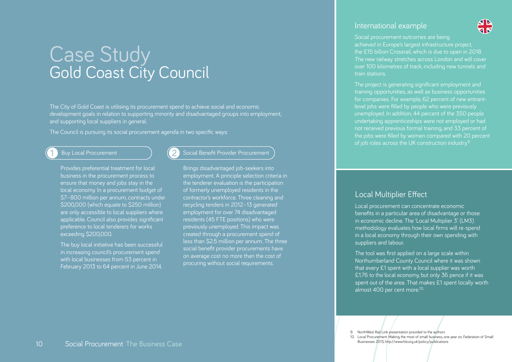## Case Study<br>Gold Coast City Council

The City of Gold Coast is utilising its procurement spend to achieve social and economic development goals in relation to supporting minority and disadvantaged groups into employment, and supporting local suppliers in general.

The Council is pursuing its social procurement agenda in two specific ways:

#### Buy Local Procurement

1

 Provides preferential treatment for local business in the procurement process to ensure that money and jobs stay in the local economy. In a procurement budget of \$7–800 million per annum, contracts under \$200,000 (which equate to \$250 million) are only accessible to local suppliers where applicable. Council also provides significant preference to local tenderers for works exceeding \$200,000.

 The buy local initiative has been successful in increasing council's procurement spend with local businesses from 53 percent in February 2013 to 64 percent in June 2014.

#### Social Benefit Provider Procurement

 Brings disadvantaged job-seekers into employment. A principle selection criteria in the tenderer evaluation is the participation of formerly unemployed residents in the contractor's workforce. Three cleaning and recycling tenders in 2012–13 generated employment for over 74 disadvantaged residents (45 FTE positions) who were previously unemployed. This impact was created through a procurement spend of less than \$2.5 million per annum. The three social benefit provider procurements have on average cost no more than the cost of procuring without social requirements.

#### International example

Social procurement outcomes are being achieved in Europe's largest infrastructure project, the £15 billion Crossrail, which is due to open in 2018. The new railway stretches across London and will cover over 100 kilometres of track, including new tunnels and train stations.

The project is generating significant employment and training opportunities, as well as business opportunities for companies. For example, 62 percent of new entrantlevel jobs were filled by people who were previously unemployed. In addition, 44 percent of the 350 people undertaking apprenticeships were not employed or had not received previous formal training, and 33 percent of the jobs were filled by women compared with 20 percent of job roles across the UK construction industry.<sup>9</sup>

#### **Local Multiplier Effect**

Local procurement can concentrate economic benefits in a particular area of disadvantage or those in economic decline. The 'Local Multiplier 3' (LM3) methodology evaluates how local firms will re-spend in a local economy through their own spending with suppliers and labour.

The tool was first applied on a large scale within Northumberland County Council where it was shown that every £1 spent with a local supplier was worth £1.76 to the local economy, but only 36 pence if it was spent out of the area. That makes £1 spent locally worth almost 400 per cent more.<sup>10</sup>

9. NorthWest Rail Link presentation provided to the authors

10. Local Procurement: Making the most of small business, one year on, Federation of Small Businesses 2013, http://www.fsb.org.uk/policy/publications

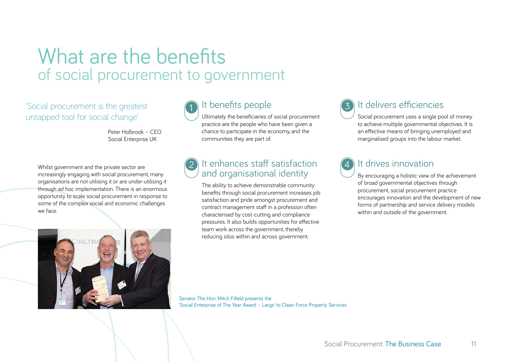### What are the benefits of social procurement to government

'Social procurement is the greatest untapped tool for social change'

> Peter Holbrook – CEO Social Enterprise UK

Whilst government and the private sector are increasingly engaging with social procurement, many organisations are not utilising it or are under-utilising it through ad hoc implementation. There is an enormous opportunity to scale social procurement in response to some of the complex social and economic challenges we face.





### It benefits people

Ultimately the beneficiaries of social procurement practice are the people who have been given a chance to participate in the economy, and the communities they are part of.

#### It enhances staff satisfactionand organisational identity 2

 The ability to achieve demonstrable community benefits through social procurement increases job satisfaction and pride amongst procurement and contract management staff in a profession often characterised by cost-cutting and compliance pressures. It also builds opportunities for effective team work across the government, thereby reducing silos within and across government.



### It delivers efficiencies

 Social procurement uses a single pool of money to achieve multiple governmental objectives. It is an effective means of bringing unemployed and marginalised groups into the labour market.



### It drives innovation

 By encouraging a holistic view of the achievement of broad governmental objectives through procurement, social procurement practice encourages innovation and the development of new forms of partnership and service delivery models within and outside of the government.

Senator The Hon. Mitch Fifield presents the 'Social Enterprise of The Year Award – Large' to Clean Force Property Services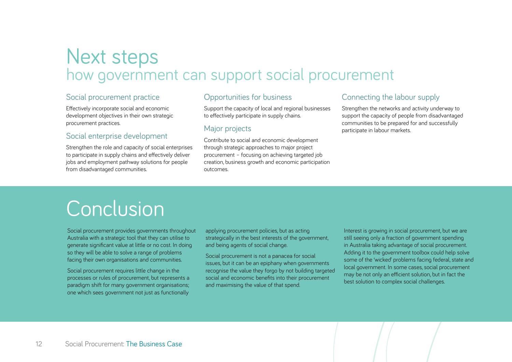# Next steps<br>how government can support social procurement

#### Social procurement practice

Effectively incorporate social and economic development objectives in their own strategic procurement practices.

#### Social enterprise development

Strengthen the role and capacity of social enterprises to participate in supply chains and effectively deliver jobs and employment pathway solutions for people from disadvantaged communities.

#### Opportunities for business

Support the capacity of local and regional businesses to effectively participate in supply chains.

#### Major projects

Contribute to social and economic development through strategic approaches to major project procurement – focusing on achieving targeted job creation, business growth and economic participation outcomes.

#### Connecting the labour supply

Strengthen the networks and activity underway to support the capacity of people from disadvantaged communities to be prepared for and successfully participate in labour markets.

## **Conclusion**

Social procurement provides governments throughout Australia with a strategic tool that they can utilise to generate significant value at little or no cost. In doing so they will be able to solve a range of problems facing their own organisations and communities.

Social procurement requires little change in the processes or rules of procurement, but represents a paradigm shift for many government organisations; one which sees government not just as functionally

applying procurement policies, but as acting strategically in the best interests of the government, and being agents of social change.

Social procurement is not a panacea for social issues, but it can be an epiphany when governments recognise the value they forgo by not building targeted social and economic benefits into their procurement and maximising the value of that spend.

Interest is growing in social procurement, but we are still seeing only a fraction of government spending in Australia taking advantage of social procurement. Adding it to the government toolbox could help solve some of the 'wicked' problems facing federal, state and local government. In some cases, social procurement may be not only an efficient solution, but in fact the best solution to complex social challenges.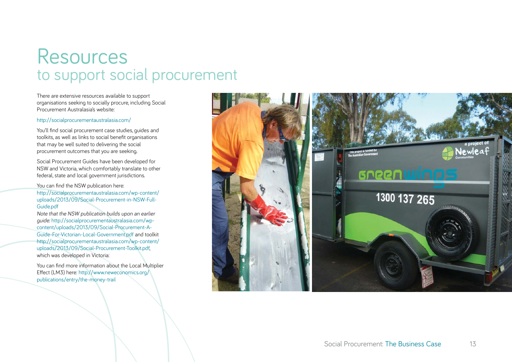### Resources to support social procurement

There are extensive resources available to support organisations seeking to socially procure, including Social Procurement Australasia's website:

#### http://socialprocurementaustralasia.com/

You'll find social procurement case studies, quides and toolkits, as well as links to social benefit organisations that may be well suited to delivering the social procurement outcomes that you are seeking.

Social Procurement Guides have been developed for NSW and Victoria, which comfortably translate to other federal, state and local government jurisdictions.

You can find the NSW publication here: http://socialprocurementaustralasia.com/wp-content/ uploads/2013/09/Social-Procurement-in-NSW-Full-Guide.pdf

Note that the NSW publication builds upon an earlier guide: http://socialprocurementaustralasia.com/wpcontent/uploads/2013/09/Social-Procurement-A-Guide-For-Victorian-Local-Government.pdf and toolkit http://socialprocurementaustralasia.com/wp-content/ uploads/2013/09/Social-Procurement-Toolkit.pdf, which was developed in Victoria:

You can find more information about the Local Multiplier Effect (LM3) here: http://www.neweconomics.org/ publications/entry/the-money-trail

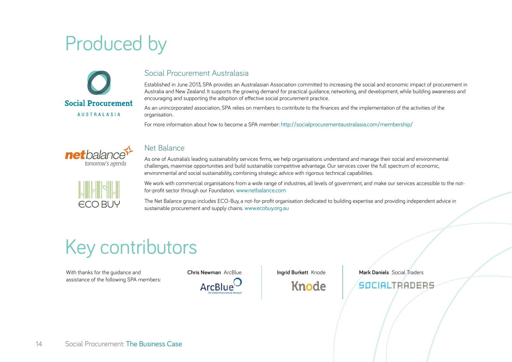## Produced by



#### Social Procurement Australasia

Established in June 2013, SPA provides an Australasian Association committed to increasing the social and economic impact of procurement in Australia and New Zealand. It supports the growing demand for practical guidance, networking, and development, while building awareness and encouraging and supporting the adoption of effective social procurement practice.

As an unincorporated association, SPA relies on members to contribute to the finances and the implementation of the activities of the organisation.

For more information about how to become a SPA member: http://socialprocurementaustralasia.com/membership/



#### Net Balance

As one of Australia's leading sustainability services firms, we help organisations understand and manage their social and environmental challenges, maximise opportunities and build sustainable competitive advantage. Our services cover the full spectrum of economic, environmental and social sustainability, combining strategic advice with rigorous technical capabilities.



We work with commercial organisations from a wide range of industries, all levels of government, and make our services accessible to the notfor-profit sector through our Foundation. www.netbalance.com

The Net Balance group includes ECO-Buy, a not-for-profit organisation dedicated to building expertise and providing independent advice in sustainable procurement and supply chains. www.ecobuy.org.au

### Key contributors

With thanks for the guidance and assistance of the following SPA members:



Knode

**Ingrid Burkett** Knode **Mark Daniels** Social Traders

SOCIALTRADERS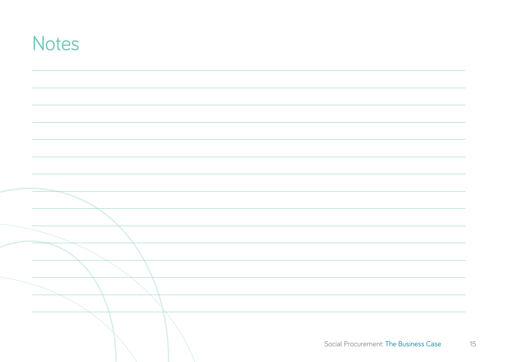| <b>Notes</b> |                                       |
|--------------|---------------------------------------|
|              |                                       |
|              |                                       |
|              |                                       |
|              |                                       |
|              |                                       |
|              |                                       |
|              |                                       |
|              |                                       |
|              |                                       |
|              |                                       |
|              |                                       |
|              |                                       |
|              |                                       |
|              | Social Procurement: The Business Case |